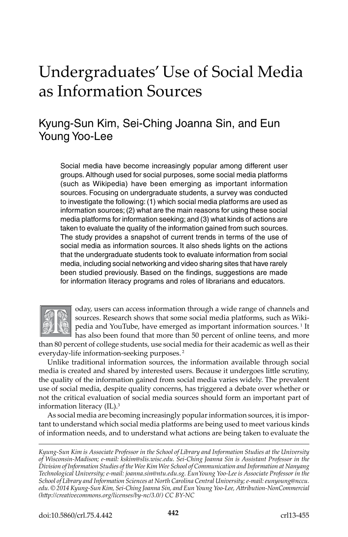## Kyung-Sun Kim, Sei-Ching Joanna Sin, and Eun Young Yoo-Lee

Social media have become increasingly popular among different user groups. Although used for social purposes, some social media platforms (such as Wikipedia) have been emerging as important information sources. Focusing on undergraduate students, a survey was conducted to investigate the following: (1) which social media platforms are used as information sources; (2) what are the main reasons for using these social media platforms for information seeking; and (3) what kinds of actions are taken to evaluate the quality of the information gained from such sources. The study provides a snapshot of current trends in terms of the use of social media as information sources. It also sheds lights on the actions that the undergraduate students took to evaluate information from social media, including social networking and video sharing sites that have rarely been studied previously. Based on the findings, suggestions are made for information literacy programs and roles of librarians and educators.



oday, users can access information through a wide range of channels and sources. Research shows that some social media platforms, such as Wikipedia and YouTube, have emerged as important information sources.<sup>1</sup> It has also been found that more than 50 percent of online teens, and more

than 80 percent of college students, use social media for their academic as well as their everyday-life information-seeking purposes. 2

Unlike traditional information sources, the information available through social media is created and shared by interested users. Because it undergoes little scrutiny, the quality of the information gained from social media varies widely. The prevalent use of social media, despite quality concerns, has triggered a debate over whether or not the critical evaluation of social media sources should form an important part of information literacy (IL).<sup>3</sup>

As social media are becoming increasingly popular information sources, it is important to understand which social media platforms are being used to meet various kinds of information needs, and to understand what actions are being taken to evaluate the

*Kyung-Sun Kim is Associate Professor in the School of Library and Information Studies at the University of Wisconsin-Madison; e-mail: kskim@slis.wisc.edu. Sei-Ching Joanna Sin is Assistant Professor in the Division of Information Studies of the Wee Kim Wee School of Communication and Information at Nanyang Technological University; e-mail: joanna.sin@ntu.edu.sg. EunYoung Yoo-Lee is Associate Professor in the School of Library and Information Sciences at North Carolina Central University; e-mail: eunyoung@nccu. edu. © 2014 Kyung-Sun Kim, Sei-Ching Joanna Sin, and Eun Young Yoo-Lee, Attribution-NonCommercial (http://creativecommons.org/licenses/by-nc/3.0/) CC BY-NC*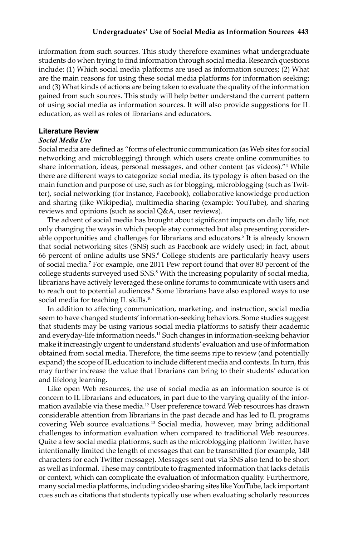information from such sources. This study therefore examines what undergraduate students do when trying to find information through social media. Research questions include: (1) Which social media platforms are used as information sources; (2) What are the main reasons for using these social media platforms for information seeking; and (3) What kinds of actions are being taken to evaluate the quality of the information gained from such sources. This study will help better understand the current pattern of using social media as information sources. It will also provide suggestions for IL education, as well as roles of librarians and educators.

## **Literature Review**

## *Social Media Use*

Social media are defined as "forms of electronic communication (as Web sites for social networking and microblogging) through which users create online communities to share information, ideas, personal messages, and other content (as videos)."4 While there are different ways to categorize social media, its typology is often based on the main function and purpose of use, such as for blogging, microblogging (such as Twitter), social networking (for instance, Facebook), collaborative knowledge production and sharing (like Wikipedia), multimedia sharing (example: YouTube), and sharing reviews and opinions (such as social Q&A, user reviews).

The advent of social media has brought about significant impacts on daily life, not only changing the ways in which people stay connected but also presenting considerable opportunities and challenges for librarians and educators.<sup>5</sup> It is already known that social networking sites (SNS) such as Facebook are widely used; in fact, about 66 percent of online adults use SNS.<sup>6</sup> College students are particularly heavy users of social media.7 For example, one 2011 Pew report found that over 80 percent of the college students surveyed used SNS.<sup>8</sup> With the increasing popularity of social media, librarians have actively leveraged these online forums to communicate with users and to reach out to potential audiences.<sup>9</sup> Some librarians have also explored ways to use social media for teaching IL skills.<sup>10</sup>

In addition to affecting communication, marketing, and instruction, social media seem to have changed students' information-seeking behaviors. Some studies suggest that students may be using various social media platforms to satisfy their academic and everyday-life information needs.11 Such changes in information-seeking behavior make it increasingly urgent to understand students' evaluation and use of information obtained from social media. Therefore, the time seems ripe to review (and potentially expand) the scope of IL education to include different media and contexts. In turn, this may further increase the value that librarians can bring to their students' education and lifelong learning.

Like open Web resources, the use of social media as an information source is of concern to IL librarians and educators, in part due to the varying quality of the information available via these media.12 User preference toward Web resources has drawn considerable attention from librarians in the past decade and has led to IL programs covering Web source evaluations.13 Social media, however, may bring additional challenges to information evaluation when compared to traditional Web resources. Quite a few social media platforms, such as the microblogging platform Twitter, have intentionally limited the length of messages that can be transmitted (for example, 140 characters for each Twitter message). Messages sent out via SNS also tend to be short as well as informal. These may contribute to fragmented information that lacks details or context, which can complicate the evaluation of information quality. Furthermore, many social media platforms, including video sharing sites like YouTube, lack important cues such as citations that students typically use when evaluating scholarly resources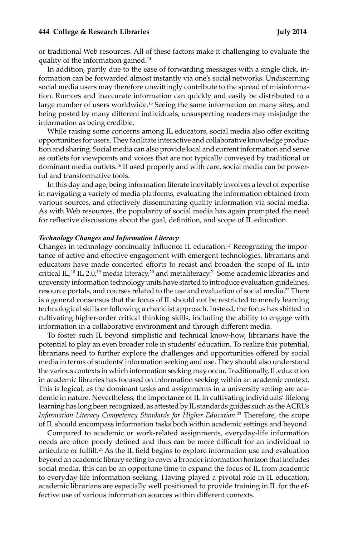#### **444 College & Research Libraries July 2014**

or traditional Web resources. All of these factors make it challenging to evaluate the quality of the information gained.14

In addition, partly due to the ease of forwarding messages with a single click, information can be forwarded almost instantly via one's social networks. Undiscerning social media users may therefore unwittingly contribute to the spread of misinformation. Rumors and inaccurate information can quickly and easily be distributed to a large number of users worldwide.15 Seeing the same information on many sites, and being posted by many different individuals, unsuspecting readers may misjudge the information as being credible.

While raising some concerns among IL educators, social media also offer exciting opportunities for users. They facilitate interactive and collaborative knowledge production and sharing. Social media can also provide local and current information and serve as outlets for viewpoints and voices that are not typically conveyed by traditional or dominant media outlets.16 If used properly and with care, social media can be powerful and transformative tools.

In this day and age, being information literate inevitably involves a level of expertise in navigating a variety of media platforms, evaluating the information obtained from various sources, and effectively disseminating quality information via social media. As with Web resources, the popularity of social media has again prompted the need for reflective discussions about the goal, definition, and scope of IL education.

#### *Technology Changes and Information Literacy*

Changes in technology continually influence IL education.<sup>17</sup> Recognizing the importance of active and effective engagement with emergent technologies, librarians and educators have made concerted efforts to recast and broaden the scope of IL into critical IL,<sup>18</sup> IL 2.0,<sup>19</sup> media literacy,<sup>20</sup> and metaliteracy.<sup>21</sup> Some academic libraries and university information technology units have started to introduce evaluation guidelines, resource portals, and courses related to the use and evaluation of social media.<sup>22</sup> There is a general consensus that the focus of IL should not be restricted to merely learning technological skills or following a checklist approach. Instead, the focus has shifted to cultivating higher-order critical thinking skills, including the ability to engage with information in a collaborative environment and through different media.

To foster such IL beyond simplistic and technical know-how, librarians have the potential to play an even broader role in students' education. To realize this potential, librarians need to further explore the challenges and opportunities offered by social media in terms of students' information seeking and use. They should also understand the various contexts in which information seeking may occur. Traditionally, IL education in academic libraries has focused on information seeking within an academic context. This is logical, as the dominant tasks and assignments in a university setting are academic in nature. Nevertheless, the importance of IL in cultivating individuals' lifelong learning has long been recognized, as attested by IL standards guides such as the ACRL's *Information Literacy Competency Standards for Higher Education*. 23 Therefore, the scope of IL should encompass information tasks both within academic settings and beyond.

Compared to academic or work-related assignments, everyday-life information needs are often poorly defined and thus can be more difficult for an individual to articulate or fulfill.<sup>24</sup> As the IL field begins to explore information use and evaluation beyond an academic library setting to cover a broader information horizon that includes social media, this can be an opportune time to expand the focus of IL from academic to everyday-life information seeking. Having played a pivotal role in IL education, academic librarians are especially well positioned to provide training in IL for the effective use of various information sources within different contexts.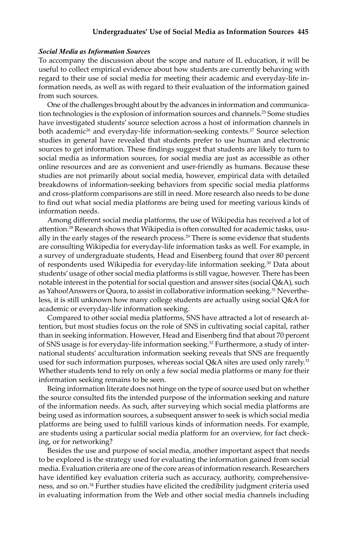## *Social Media as Information Sources*

To accompany the discussion about the scope and nature of IL education, it will be useful to collect empirical evidence about how students are currently behaving with regard to their use of social media for meeting their academic and everyday-life information needs, as well as with regard to their evaluation of the information gained from such sources.

One of the challenges brought about by the advances in information and communication technologies is the explosion of information sources and channels.<sup>25</sup> Some studies have investigated students' source selection across a host of information channels in both academic<sup>26</sup> and everyday-life information-seeking contexts.<sup>27</sup> Source selection studies in general have revealed that students prefer to use human and electronic sources to get information. These findings suggest that students are likely to turn to social media as information sources, for social media are just as accessible as other online resources and are as convenient and user-friendly as humans. Because these studies are not primarily about social media, however, empirical data with detailed breakdowns of information-seeking behaviors from specific social media platforms and cross-platform comparisons are still in need. More research also needs to be done to find out what social media platforms are being used for meeting various kinds of information needs.

Among different social media platforms, the use of Wikipedia has received a lot of attention.28 Research shows that Wikipedia is often consulted for academic tasks, usually in the early stages of the research process.<sup>29</sup> There is some evidence that students are consulting Wikipedia for everyday-life information tasks as well. For example, in a survey of undergraduate students, Head and Eisenberg found that over 80 percent of respondents used Wikipedia for everyday-life information seeking.<sup>30</sup> Data about students' usage of other social media platforms is still vague, however. There has been notable interest in the potential for social question and answer sites (social Q&A), such as Yahoo! Answers or Quora, to assist in collaborative information seeking.<sup>31</sup> Nevertheless, it is still unknown how many college students are actually using social Q&A for academic or everyday-life information seeking.

Compared to other social media platforms, SNS have attracted a lot of research attention, but most studies focus on the role of SNS in cultivating social capital, rather than in seeking information. However, Head and Eisenberg find that about 70 percent of SNS usage is for everyday-life information seeking.<sup>32</sup> Furthermore, a study of international students' acculturation information seeking reveals that SNS are frequently used for such information purposes, whereas social Q&A sites are used only rarely.<sup>33</sup> Whether students tend to rely on only a few social media platforms or many for their information seeking remains to be seen.

Being information literate does not hinge on the type of source used but on whether the source consulted fits the intended purpose of the information seeking and nature of the information needs. As such, after surveying which social media platforms are being used as information sources, a subsequent answer to seek is which social media platforms are being used to fulfill various kinds of information needs. For example, are students using a particular social media platform for an overview, for fact checking, or for networking?

Besides the use and purpose of social media, another important aspect that needs to be explored is the strategy used for evaluating the information gained from social media. Evaluation criteria are one of the core areas of information research. Researchers have identified key evaluation criteria such as accuracy, authority, comprehensiveness, and so on.<sup>34</sup> Further studies have elicited the credibility judgment criteria used in evaluating information from the Web and other social media channels including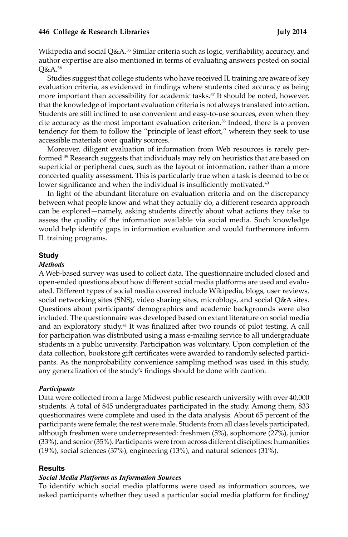Wikipedia and social Q&A.<sup>35</sup> Similar criteria such as logic, verifiability, accuracy, and author expertise are also mentioned in terms of evaluating answers posted on social  $O&A.^{36}$ 

Studies suggest that college students who have received IL training are aware of key evaluation criteria, as evidenced in findings where students cited accuracy as being more important than accessibility for academic tasks.<sup>37</sup> It should be noted, however, that the knowledge of important evaluation criteria is not always translated into action. Students are still inclined to use convenient and easy-to-use sources, even when they cite accuracy as the most important evaluation criterion.38 Indeed, there is a proven tendency for them to follow the "principle of least effort," wherein they seek to use accessible materials over quality sources.

Moreover, diligent evaluation of information from Web resources is rarely performed.39 Research suggests that individuals may rely on heuristics that are based on superficial or peripheral cues, such as the layout of information, rather than a more concerted quality assessment. This is particularly true when a task is deemed to be of lower significance and when the individual is insufficiently motivated.<sup>40</sup>

In light of the abundant literature on evaluation criteria and on the discrepancy between what people know and what they actually do, a different research approach can be explored—namely, asking students directly about what actions they take to assess the quality of the information available via social media. Such knowledge would help identify gaps in information evaluation and would furthermore inform IL training programs.

## **Study**

## *Methods*

A Web-based survey was used to collect data. The questionnaire included closed and open-ended questions about how different social media platforms are used and evaluated. Different types of social media covered include Wikipedia, blogs, user reviews, social networking sites (SNS), video sharing sites, microblogs, and social Q&A sites. Questions about participants' demographics and academic backgrounds were also included. The questionnaire was developed based on extant literature on social media and an exploratory study.41 It was finalized after two rounds of pilot testing. A call for participation was distributed using a mass e-mailing service to all undergraduate students in a public university. Participation was voluntary. Upon completion of the data collection, bookstore gift certificates were awarded to randomly selected participants. As the nonprobability convenience sampling method was used in this study, any generalization of the study's findings should be done with caution.

## *Participants*

Data were collected from a large Midwest public research university with over 40,000 students. A total of 845 undergraduates participated in the study. Among them, 833 questionnaires were complete and used in the data analysis. About 65 percent of the participants were female; the rest were male. Students from all class levels participated, although freshmen were underrepresented: freshmen (5%), sophomore (27%), junior (33%), and senior (35%). Participants were from across different disciplines: humanities (19%), social sciences (37%), engineering (13%), and natural sciences (31%).

## **Results**

## *Social Media Platforms as Information Sources*

To identify which social media platforms were used as information sources, we asked participants whether they used a particular social media platform for finding/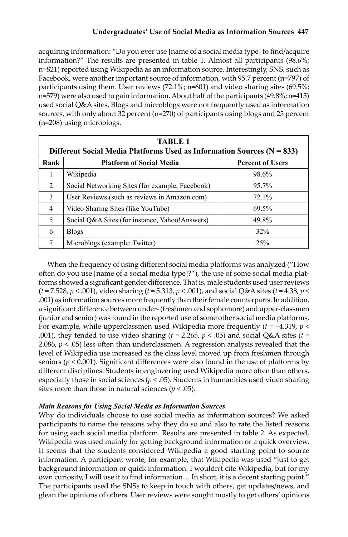acquiring information: "Do you ever use [name of a social media type] to find/acquire information?" The results are presented in table 1. Almost all participants (98.6%; n=821) reported using Wikipedia as an information source. Interestingly, SNS, such as Facebook, were another important source of information, with 95.7 percent (n=797) of participants using them. User reviews (72.1%; n=601) and video sharing sites (69.5%; n=579) were also used to gain information. About half of the participants (49.8%; n=415) used social Q&A sites. Blogs and microblogs were not frequently used as information sources, with only about 32 percent (n=270) of participants using blogs and 25 percent (n=208) using microblogs.

| <b>TABLE 1</b><br>Different Social Media Platforms Used as Information Sources ( $N = 833$ ) |                                                 |                         |  |  |  |  |
|----------------------------------------------------------------------------------------------|-------------------------------------------------|-------------------------|--|--|--|--|
| Rank                                                                                         | <b>Platform of Social Media</b>                 | <b>Percent of Users</b> |  |  |  |  |
|                                                                                              | Wikipedia                                       | 98.6%                   |  |  |  |  |
| $\mathfrak{D}$                                                                               | Social Networking Sites (for example, Facebook) | 95.7%                   |  |  |  |  |
| 3                                                                                            | User Reviews (such as reviews in Amazon.com)    | 72.1%                   |  |  |  |  |
| 4                                                                                            | Video Sharing Sites (like YouTube)              | 69.5%                   |  |  |  |  |
| 5                                                                                            | Social Q&A Sites (for instance, Yahoo!Answers)  | 49.8%                   |  |  |  |  |
| 6                                                                                            | <b>Blogs</b>                                    | 32%                     |  |  |  |  |
| 7                                                                                            | Microblogs (example: Twitter)                   | 25%                     |  |  |  |  |

When the frequency of using different social media platforms was analyzed ("How often do you use [name of a social media type]?"), the use of some social media platforms showed a significant gender difference. That is, male students used user reviews (*t* = 7.528, *p* < .001), video sharing (*t* = 5.313, *p* < .001), and social Q&A sites (*t* = 4.38, *p* < .001) as information sources more frequently than their female counterparts. In addition, a significant difference between under- (freshmen and sophomore) and upper-classmen (junior and senior) was found in the reported use of some other social media platforms. For example, while upperclassmen used Wikipedia more frequently (*t* = –4.319, *p* < .001), they tended to use video sharing  $(t = 2.265, p < .05)$  and social Q&A sites  $(t =$ 2.086, *p* < .05) less often than underclassmen. A regression analysis revealed that the level of Wikipedia use increased as the class level moved up from freshmen through seniors ( $p < 0.001$ ). Significant differences were also found in the use of platforms by different disciplines. Students in engineering used Wikipedia more often than others, especially those in social sciences ( $p < .05$ ). Students in humanities used video sharing sites more than those in natural sciences ( $p < .05$ ).

## *Main Reasons for Using Social Media as Information Sources*

Why do individuals choose to use social media as information sources? We asked participants to name the reasons why they do so and also to rate the listed reasons for using each social media platform. Results are presented in table 2. As expected, Wikipedia was used mainly for getting background information or a quick overview. It seems that the students considered Wikipedia a good starting point to source information. A participant wrote, for example, that Wikipedia was used "just to get background information or quick information. I wouldn't cite Wikipedia, but for my own curiosity, I will use it to find information… In short, it is a decent starting point." The participants used the SNSs to keep in touch with others, get updates/news, and glean the opinions of others. User reviews were sought mostly to get others' opinions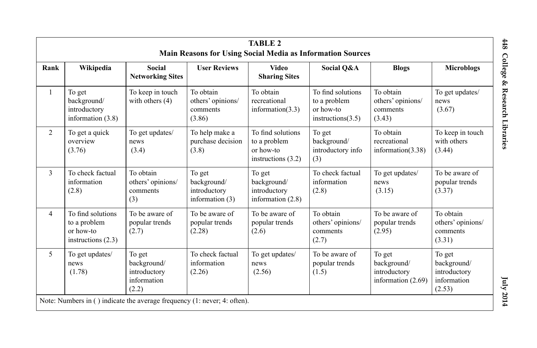| <b>TABLE 2</b><br><b>Main Reasons for Using Social Media as Information Sources</b> |                                                                        |                                                               |                                                            |                                                                        |                                                                        |                                                             |                                                                |
|-------------------------------------------------------------------------------------|------------------------------------------------------------------------|---------------------------------------------------------------|------------------------------------------------------------|------------------------------------------------------------------------|------------------------------------------------------------------------|-------------------------------------------------------------|----------------------------------------------------------------|
| Rank                                                                                | Wikipedia                                                              | Social<br><b>Networking Sites</b>                             | <b>User Reviews</b>                                        | <b>Video</b><br><b>Sharing Sites</b>                                   | Social Q&A                                                             | <b>Blogs</b>                                                | <b>Microblogs</b>                                              |
| $\mathbf{1}$                                                                        | To get<br>background/<br>introductory<br>information $(3.8)$           | To keep in touch<br>with others $(4)$                         | To obtain<br>others' opinions/<br>comments<br>(3.86)       | To obtain<br>recreational<br>information $(3.3)$                       | To find solutions<br>to a problem<br>or how-to<br>instructions $(3.5)$ | To obtain<br>others' opinions/<br>comments<br>(3.43)        | To get updates/<br>news<br>(3.67)                              |
| $\overline{2}$                                                                      | To get a quick<br>overview<br>(3.76)                                   | To get updates/<br>news<br>(3.4)                              | To help make a<br>purchase decision<br>(3.8)               | To find solutions<br>to a problem<br>or how-to<br>instructions $(3.2)$ | To get<br>background/<br>introductory info<br>(3)                      | To obtain<br>recreational<br>information(3.38)              | To keep in touch<br>with others<br>(3.44)                      |
| $\overline{3}$                                                                      | To check factual<br>information<br>(2.8)                               | To obtain<br>others' opinions/<br>comments<br>(3)             | To get<br>background/<br>introductory<br>information $(3)$ | To get<br>background/<br>introductory<br>information $(2.8)$           | To check factual<br>information<br>(2.8)                               | To get updates/<br>news<br>(3.15)                           | To be aware of<br>popular trends<br>(3.37)                     |
| $\overline{4}$                                                                      | To find solutions<br>to a problem<br>or how-to<br>instructions $(2.3)$ | To be aware of<br>popular trends<br>(2.7)                     | To be aware of<br>popular trends<br>(2.28)                 | To be aware of<br>popular trends<br>(2.6)                              | To obtain<br>others' opinions/<br>comments<br>(2.7)                    | To be aware of<br>popular trends<br>(2.95)                  | To obtain<br>others' opinions/<br>comments<br>(3.31)           |
| 5                                                                                   | To get updates/<br>news<br>(1.78)                                      | To get<br>background/<br>introductory<br>information<br>(2.2) | To check factual<br>information<br>(2.26)                  | To get updates/<br>news<br>(2.56)                                      | To be aware of<br>popular trends<br>(1.5)                              | To get<br>background/<br>introductory<br>information (2.69) | To get<br>background/<br>introductory<br>information<br>(2.53) |

**448 College & Research Libraries**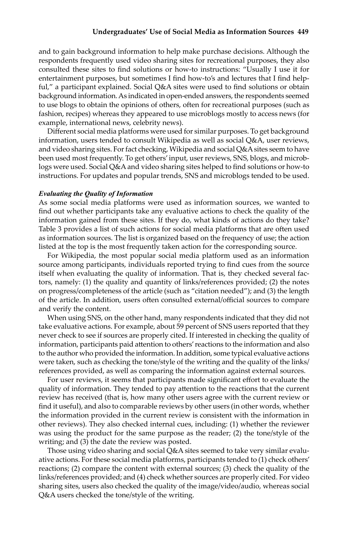and to gain background information to help make purchase decisions. Although the respondents frequently used video sharing sites for recreational purposes, they also consulted these sites to find solutions or how-to instructions: "Usually I use it for entertainment purposes, but sometimes I find how-to's and lectures that I find helpful," a participant explained. Social Q&A sites were used to find solutions or obtain background information. As indicated in open-ended answers, the respondents seemed to use blogs to obtain the opinions of others, often for recreational purposes (such as fashion, recipes) whereas they appeared to use microblogs mostly to access news (for example, international news, celebrity news).

Different social media platforms were used for similar purposes. To get background information, users tended to consult Wikipedia as well as social Q&A, user reviews, and video sharing sites. For fact checking, Wikipedia and social Q&A sites seem to have been used most frequently. To get others' input, user reviews, SNS, blogs, and microblogs were used. Social Q&A and video sharing sites helped to find solutions or how-to instructions. For updates and popular trends, SNS and microblogs tended to be used.

## *Evaluating the Quality of Information*

As some social media platforms were used as information sources, we wanted to find out whether participants take any evaluative actions to check the quality of the information gained from these sites. If they do, what kinds of actions do they take? Table 3 provides a list of such actions for social media platforms that are often used as information sources. The list is organized based on the frequency of use; the action listed at the top is the most frequently taken action for the corresponding source.

For Wikipedia, the most popular social media platform used as an information source among participants, individuals reported trying to find cues from the source itself when evaluating the quality of information. That is, they checked several factors, namely: (1) the quality and quantity of links/references provided; (2) the notes on progress/completeness of the article (such as "citation needed"); and (3) the length of the article. In addition, users often consulted external/official sources to compare and verify the content.

When using SNS, on the other hand, many respondents indicated that they did not take evaluative actions. For example, about 59 percent of SNS users reported that they never check to see if sources are properly cited. If interested in checking the quality of information, participants paid attention to others' reactions to the information and also to the author who provided the information. In addition, some typical evaluative actions were taken, such as checking the tone/style of the writing and the quality of the links/ references provided, as well as comparing the information against external sources.

For user reviews, it seems that participants made significant effort to evaluate the quality of information. They tended to pay attention to the reactions that the current review has received (that is, how many other users agree with the current review or find it useful), and also to comparable reviews by other users (in other words, whether the information provided in the current review is consistent with the information in other reviews). They also checked internal cues, including: (1) whether the reviewer was using the product for the same purpose as the reader; (2) the tone/style of the writing; and (3) the date the review was posted.

Those using video sharing and social Q&A sites seemed to take very similar evaluative actions. For these social media platforms, participants tended to (1) check others' reactions; (2) compare the content with external sources; (3) check the quality of the links/references provided; and (4) check whether sources are properly cited. For video sharing sites, users also checked the quality of the image/video/audio, whereas social Q&A users checked the tone/style of the writing.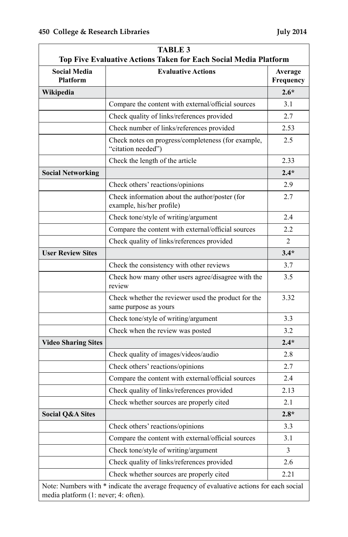$\mathsf{r}$ 

 $\overline{\phantom{a}}$ 

| <b>Social Media</b><br><b>Platform</b> | <b>Evaluative Actions</b>                                                    | Average<br>Frequency |
|----------------------------------------|------------------------------------------------------------------------------|----------------------|
| Wikipedia                              |                                                                              | $2.6*$               |
|                                        | Compare the content with external/official sources                           | 3.1                  |
|                                        | Check quality of links/references provided                                   | 2.7                  |
|                                        | Check number of links/references provided                                    | 2.53                 |
|                                        | Check notes on progress/completeness (for example,<br>"citation needed")     | 2.5                  |
|                                        | Check the length of the article                                              | 2.33                 |
| <b>Social Networking</b>               |                                                                              | $2.4*$               |
|                                        | Check others' reactions/opinions                                             | 2.9                  |
|                                        | Check information about the author/poster (for<br>example, his/her profile)  | 2.7                  |
|                                        | Check tone/style of writing/argument                                         | 2.4                  |
|                                        | Compare the content with external/official sources                           | 2.2                  |
|                                        | Check quality of links/references provided                                   | 2                    |
| <b>User Review Sites</b>               |                                                                              | $3.4*$               |
|                                        | Check the consistency with other reviews                                     | 3.7                  |
|                                        | Check how many other users agree/disagree with the<br>review                 | 3.5                  |
|                                        | Check whether the reviewer used the product for the<br>same purpose as yours | 3.32                 |
|                                        | Check tone/style of writing/argument                                         | 3.3                  |
|                                        | Check when the review was posted                                             | 3.2                  |
| <b>Video Sharing Sites</b>             |                                                                              | $2.4*$               |
|                                        | Check quality of images/videos/audio                                         | 2.8                  |
|                                        | Check others' reactions/opinions                                             | 2.7                  |
|                                        | Compare the content with external/official sources                           | 2.4                  |
|                                        | Check quality of links/references provided                                   | 2.13                 |
|                                        | Check whether sources are properly cited                                     | 2.1                  |
| <b>Social Q&amp;A Sites</b>            |                                                                              | $2.8*$               |
|                                        | Check others' reactions/opinions                                             | 3.3                  |
|                                        | Compare the content with external/official sources                           | 3.1                  |
|                                        | Check tone/style of writing/argument                                         | 3                    |
|                                        | Check quality of links/references provided                                   | 2.6                  |
|                                        | Check whether sources are properly cited                                     | 2.21                 |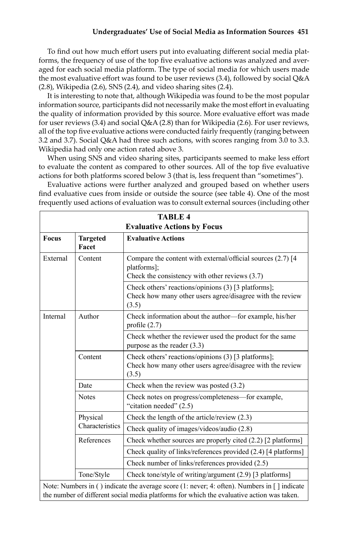To find out how much effort users put into evaluating different social media platforms, the frequency of use of the top five evaluative actions was analyzed and averaged for each social media platform. The type of social media for which users made the most evaluative effort was found to be user reviews (3.4), followed by social Q&A (2.8), Wikipedia (2.6), SNS (2.4), and video sharing sites (2.4).

It is interesting to note that, although Wikipedia was found to be the most popular information source, participants did not necessarily make the most effort in evaluating the quality of information provided by this source. More evaluative effort was made for user reviews (3.4) and social  $Q&A(2.8)$  than for Wikipedia (2.6). For user reviews, all of the top five evaluative actions were conducted fairly frequently (ranging between 3.2 and 3.7). Social Q&A had three such actions, with scores ranging from 3.0 to 3.3. Wikipedia had only one action rated above 3.

When using SNS and video sharing sites, participants seemed to make less effort to evaluate the content as compared to other sources. All of the top five evaluative actions for both platforms scored below 3 (that is, less frequent than "sometimes").

| <b>TABLE 4</b>                                                                                |                             |                                                                                                                                   |  |  |  |
|-----------------------------------------------------------------------------------------------|-----------------------------|-----------------------------------------------------------------------------------------------------------------------------------|--|--|--|
| <b>Evaluative Actions by Focus</b>                                                            |                             |                                                                                                                                   |  |  |  |
| <b>Focus</b>                                                                                  | <b>Targeted</b><br>Facet    | <b>Evaluative Actions</b>                                                                                                         |  |  |  |
| External                                                                                      | Content                     | Compare the content with external/official sources $(2.7)$ [4]<br>platforms];<br>Check the consistency with other reviews $(3.7)$ |  |  |  |
|                                                                                               |                             | Check others' reactions/opinions (3) [3 platforms];<br>Check how many other users agree/disagree with the review<br>(3.5)         |  |  |  |
| Internal                                                                                      | Author                      | Check information about the author—for example, his/her<br>profile $(2.7)$                                                        |  |  |  |
|                                                                                               |                             | Check whether the reviewer used the product for the same<br>purpose as the reader $(3.3)$                                         |  |  |  |
|                                                                                               | Content                     | Check others' reactions/opinions (3) [3 platforms];<br>Check how many other users agree/disagree with the review<br>(3.5)         |  |  |  |
|                                                                                               | Date                        | Check when the review was posted $(3.2)$                                                                                          |  |  |  |
|                                                                                               | <b>Notes</b>                | Check notes on progress/completeness-for example,<br>"citation needed" (2.5)                                                      |  |  |  |
|                                                                                               | Physical<br>Characteristics | Check the length of the article/review $(2.3)$                                                                                    |  |  |  |
|                                                                                               |                             | Check quality of images/videos/audio (2.8)                                                                                        |  |  |  |
|                                                                                               | References                  | Check whether sources are properly cited $(2.2)$ [2 platforms]                                                                    |  |  |  |
|                                                                                               |                             | Check quality of links/references provided (2.4) [4 platforms]                                                                    |  |  |  |
|                                                                                               |                             | Check number of links/references provided (2.5)                                                                                   |  |  |  |
|                                                                                               | Tone/Style                  | Check tone/style of writing/argument (2.9) [3 platforms]                                                                          |  |  |  |
| Note: Numbers in () indicate the average score $(1)$ never: 4; often). Numbers in [] indicate |                             |                                                                                                                                   |  |  |  |

Evaluative actions were further analyzed and grouped based on whether users find evaluative cues from inside or outside the source (see table 4). One of the most frequently used actions of evaluation was to consult external sources (including other

Note: Numbers in ( ) indicate the average score (1: never; 4: often). Numbers in [ ] indicate the number of different social media platforms for which the evaluative action was taken.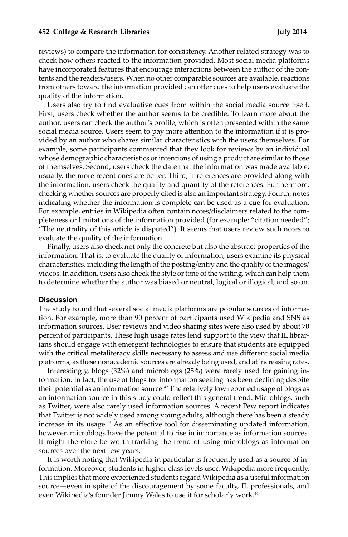reviews) to compare the information for consistency. Another related strategy was to check how others reacted to the information provided. Most social media platforms have incorporated features that encourage interactions between the author of the contents and the readers/users. When no other comparable sources are available, reactions from others toward the information provided can offer cues to help users evaluate the quality of the information.

Users also try to find evaluative cues from within the social media source itself. First, users check whether the author seems to be credible. To learn more about the author, users can check the author's profile, which is often presented within the same social media source. Users seem to pay more attention to the information if it is provided by an author who shares similar characteristics with the users themselves. For example, some participants commented that they look for reviews by an individual whose demographic characteristics or intentions of using a product are similar to those of themselves. Second, users check the date that the information was made available; usually, the more recent ones are better. Third, if references are provided along with the information, users check the quality and quantity of the references. Furthermore, checking whether sources are properly cited is also an important strategy. Fourth, notes indicating whether the information is complete can be used as a cue for evaluation. For example, entries in Wikipedia often contain notes/disclaimers related to the completeness or limitations of the information provided (for example: "citation needed"; "The neutrality of this article is disputed"). It seems that users review such notes to evaluate the quality of the information.

Finally, users also check not only the concrete but also the abstract properties of the information. That is, to evaluate the quality of information, users examine its physical characteristics, including the length of the posting/entry and the quality of the images/ videos. In addition, users also check the style or tone of the writing, which can help them to determine whether the author was biased or neutral, logical or illogical, and so on.

### **Discussion**

The study found that several social media platforms are popular sources of information. For example, more than 90 percent of participants used Wikipedia and SNS as information sources. User reviews and video sharing sites were also used by about 70 percent of participants. These high usage rates lend support to the view that IL librarians should engage with emergent technologies to ensure that students are equipped with the critical metaliteracy skills necessary to assess and use different social media platforms, as these nonacademic sources are already being used, and at increasing rates.

Interestingly, blogs (32%) and microblogs (25%) were rarely used for gaining information. In fact, the use of blogs for information seeking has been declining despite their potential as an information source.<sup>42</sup> The relatively low reported usage of blogs as an information source in this study could reflect this general trend. Microblogs, such as Twitter, were also rarely used information sources. A recent Pew report indicates that Twitter is not widely used among young adults, although there has been a steady increase in its usage.43 As an effective tool for disseminating updated information, however, microblogs have the potential to rise in importance as information sources. It might therefore be worth tracking the trend of using microblogs as information sources over the next few years.

It is worth noting that Wikipedia in particular is frequently used as a source of information. Moreover, students in higher class levels used Wikipedia more frequently. This implies that more experienced students regard Wikipedia as a useful information source—even in spite of the discouragement by some faculty, IL professionals, and even Wikipedia's founder Jimmy Wales to use it for scholarly work.<sup>44</sup>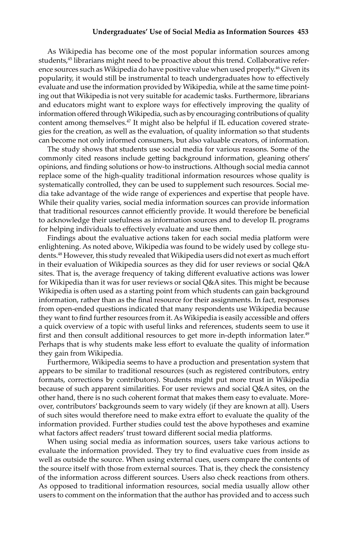As Wikipedia has become one of the most popular information sources among students,<sup>45</sup> librarians might need to be proactive about this trend. Collaborative reference sources such as Wikipedia do have positive value when used properly.<sup>46</sup> Given its popularity, it would still be instrumental to teach undergraduates how to effectively evaluate and use the information provided by Wikipedia, while at the same time pointing out that Wikipedia is not very suitable for academic tasks. Furthermore, librarians and educators might want to explore ways for effectively improving the quality of information offered through Wikipedia, such as by encouraging contributions of quality content among themselves.47 It might also be helpful if IL education covered strategies for the creation, as well as the evaluation, of quality information so that students can become not only informed consumers, but also valuable creators, of information.

The study shows that students use social media for various reasons. Some of the commonly cited reasons include getting background information, gleaning others' opinions, and finding solutions or how-to instructions. Although social media cannot replace some of the high-quality traditional information resources whose quality is systematically controlled, they can be used to supplement such resources. Social media take advantage of the wide range of experiences and expertise that people have. While their quality varies, social media information sources can provide information that traditional resources cannot efficiently provide. It would therefore be beneficial to acknowledge their usefulness as information sources and to develop IL programs for helping individuals to effectively evaluate and use them.

Findings about the evaluative actions taken for each social media platform were enlightening. As noted above, Wikipedia was found to be widely used by college students.48 However, this study revealed that Wikipedia users did not exert as much effort in their evaluation of Wikipedia sources as they did for user reviews or social Q&A sites. That is, the average frequency of taking different evaluative actions was lower for Wikipedia than it was for user reviews or social Q&A sites. This might be because Wikipedia is often used as a starting point from which students can gain background information, rather than as the final resource for their assignments. In fact, responses from open-ended questions indicated that many respondents use Wikipedia because they want to find further resources from it. As Wikipedia is easily accessible and offers a quick overview of a topic with useful links and references, students seem to use it first and then consult additional resources to get more in-depth information later.<sup>49</sup> Perhaps that is why students make less effort to evaluate the quality of information they gain from Wikipedia.

Furthermore, Wikipedia seems to have a production and presentation system that appears to be similar to traditional resources (such as registered contributors, entry formats, corrections by contributors). Students might put more trust in Wikipedia because of such apparent similarities. For user reviews and social Q&A sites, on the other hand, there is no such coherent format that makes them easy to evaluate. Moreover, contributors' backgrounds seem to vary widely (if they are known at all). Users of such sites would therefore need to make extra effort to evaluate the quality of the information provided. Further studies could test the above hypotheses and examine what factors affect readers' trust toward different social media platforms.

When using social media as information sources, users take various actions to evaluate the information provided. They try to find evaluative cues from inside as well as outside the source. When using external cues, users compare the contents of the source itself with those from external sources. That is, they check the consistency of the information across different sources. Users also check reactions from others. As opposed to traditional information resources, social media usually allow other users to comment on the information that the author has provided and to access such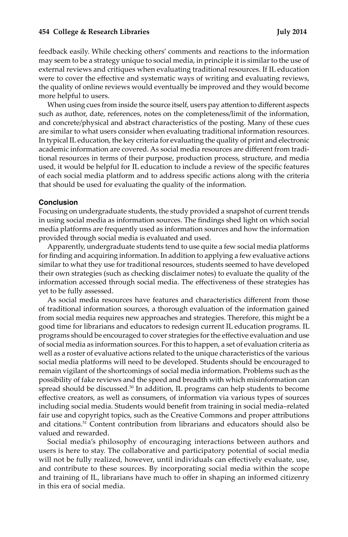## **454 College & Research Libraries July 2014**

feedback easily. While checking others' comments and reactions to the information may seem to be a strategy unique to social media, in principle it is similar to the use of external reviews and critiques when evaluating traditional resources. If IL education were to cover the effective and systematic ways of writing and evaluating reviews, the quality of online reviews would eventually be improved and they would become more helpful to users.

When using cues from inside the source itself, users pay attention to different aspects such as author, date, references, notes on the completeness/limit of the information, and concrete/physical and abstract characteristics of the posting. Many of these cues are similar to what users consider when evaluating traditional information resources. In typical IL education, the key criteria for evaluating the quality of print and electronic academic information are covered. As social media resources are different from traditional resources in terms of their purpose, production process, structure, and media used, it would be helpful for IL education to include a review of the specific features of each social media platform and to address specific actions along with the criteria that should be used for evaluating the quality of the information.

## **Conclusion**

Focusing on undergraduate students, the study provided a snapshot of current trends in using social media as information sources. The findings shed light on which social media platforms are frequently used as information sources and how the information provided through social media is evaluated and used.

Apparently, undergraduate students tend to use quite a few social media platforms for finding and acquiring information. In addition to applying a few evaluative actions similar to what they use for traditional resources, students seemed to have developed their own strategies (such as checking disclaimer notes) to evaluate the quality of the information accessed through social media. The effectiveness of these strategies has yet to be fully assessed.

As social media resources have features and characteristics different from those of traditional information sources, a thorough evaluation of the information gained from social media requires new approaches and strategies. Therefore, this might be a good time for librarians and educators to redesign current IL education programs. IL programs should be encouraged to cover strategies for the effective evaluation and use of social media as information sources. For this to happen, a set of evaluation criteria as well as a roster of evaluative actions related to the unique characteristics of the various social media platforms will need to be developed. Students should be encouraged to remain vigilant of the shortcomings of social media information. Problems such as the possibility of fake reviews and the speed and breadth with which misinformation can spread should be discussed.<sup>50</sup> In addition, IL programs can help students to become effective creators, as well as consumers, of information via various types of sources including social media. Students would benefit from training in social media–related fair use and copyright topics, such as the Creative Commons and proper attributions and citations.51 Content contribution from librarians and educators should also be valued and rewarded.

Social media's philosophy of encouraging interactions between authors and users is here to stay. The collaborative and participatory potential of social media will not be fully realized, however, until individuals can effectively evaluate, use, and contribute to these sources. By incorporating social media within the scope and training of IL, librarians have much to offer in shaping an informed citizenry in this era of social media.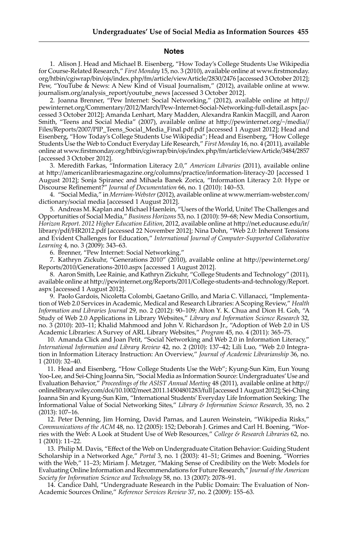#### **Notes**

 1. Alison J. Head and Michael B. Eisenberg, "How Today's College Students Use Wikipedia for Course-Related Research," *First Monday* 15, no. 3 (2010), available online at www.firstmonday. org/htbin/cgiwrap/bin/ojs/index.php/fm/article/viewArticle/2830/2476 [accessed 3 October 2012]; Pew, "YouTube & News: A New Kind of Visual Journalism," (2012), available online at www. journalism.org/analysis\_report/youtube\_news [accessed 3 October 2012].

 2. Joanna Brenner, "Pew Internet: Social Networking," (2012), available online at http:// pewinternet.org/Commentary/2012/March/Pew-Internet-Social-Networking-full-detail.aspx [accessed 3 October 2012]; Amanda Lenhart, Mary Madden, Alexandra Rankin Macgill, and Aaron Smith, "Teens and Social Media" (2007), available online at http://pewinternet.org/~/media// Files/Reports/2007/PIP\_Teens\_Social\_Media\_Final.pdf.pdf [accessed 1 August 2012]; Head and Eisenberg, "How Today's College Students Use Wikipedia"; Head and Eisenberg, "How College Students Use the Web to Conduct Everyday Life Research," *First Monday* 16, no. 4 (2011), available online at www.firstmonday.org/htbin/cgiwrap/bin/ojs/index.php/fm/article/viewArticle/3484/2857 [accessed 3 October 2012].

 3. Meredith Farkas, "Information Literacy 2.0," *American Libraries* (2011), available online at http://americanlibrariesmagazine.org/columns/practice/information-literacy-20 [accessed 1 August 2012]; Sonja Spiranec and Mihaela Banek Zorica, "Information Literacy 2.0: Hype or Discourse Refinement?" *Journal of Documentation* 66, no. 1 (2010): 140–53.

 4. "Social Media," in *Merriam-Webster* (2012), available online at www.merriam-webster.com/ dictionary/social media [accessed 1 August 2012].

 5. Andreas M. Kaplan and Michael Haenlein, "Users of the World, Unite! The Challenges and Opportunities of Social Media," *Business Horizons* 53, no. 1 (2010): 59–68; New Media Consortium, *Horizon Report. 2012 Higher Education Edition*, 2012, available online at http://net.educause.edu/ir/ library/pdf/HR2012.pdf [accessed 22 November 2012]; Nina Dohn, "Web 2.0: Inherent Tensions and Evident Challenges for Education," *International Journal of Computer-Supported Collaborative Learning* 4, no. 3 (2009): 343–63.

6. Brenner, "Pew Internet: Social Networking."

 7. Kathryn Zickuhr, "Generations 2010" (2010), available online at http://pewinternet.org/ Reports/2010/Generations-2010.aspx [accessed 1 August 2012].

 8. Aaron Smith, Lee Rainie, and Kathryn Zickuhr, "College Students and Technology" (2011), available online at http://pewinternet.org/Reports/2011/College-students-and-technology/Report. aspx [accessed 1 August 2012].

 9. Paolo Gardois, Nicoletta Colombi, Gaetano Grillo, and Maria C. Villanacci, "Implementation of Web 2.0 Services in Academic, Medical and Research Libraries: A Scoping Review," *Health Information and Libraries Journal* 29, no. 2 (2012): 90–109; Alton Y. K. Chua and Dion H. Goh, "A Study of Web 2.0 Applications in Library Websites," *Library and Information Science Research* 32, no. 3 (2010): 203–11; Khalid Mahmood and John V. Richardson Jr., "Adoption of Web 2.0 in US Academic Libraries: A Survey of ARL Library Websites," *Program* 45, no. 4 (2011): 365–75.

 10. Amanda Click and Joan Petit, "Social Networking and Web 2.0 in Information Literacy," *International Information and Library Review* 42, no. 2 (2010): 137–42; Lili Luo, "Web 2.0 Integration in Information Literacy Instruction: An Overview," *Journal of Academic Librarianship* 36, no. 1 (2010): 32–40.

11. Head and Eisenberg, "How College Students Use the Web"; Kyung-Sun Kim, Eun Young Yoo-Lee, and Sei-Ching Joanna Sin, "Social Media as Information Source: Undergraduates' Use and Evaluation Behavior," *Proceedings of the ASIST Annual Meeting* 48 (2011), available online at http:// onlinelibrary.wiley.com/doi/10.1002/meet.2011.14504801283/full [accessed 1 August 2012]; Sei-Ching Joanna Sin and Kyung-Sun Kim, "International Students' Everyday Life Information Seeking: The Informational Value of Social Networking Sites," *Library & Information Science Research*, 35, no. 2 (2013): 107–16.

12. Peter Denning, Jim Horning, David Parnas, and Lauren Weinstein, "Wikipedia Risks," *Communications of the ACM* 48, no. 12 (2005): 152; Deborah J. Grimes and Carl H. Boening, "Worries with the Web: A Look at Student Use of Web Resources," *College & Research Libraries* 62, no. 1 (2001): 11–22.

13. Philip M. Davis, "Effect of the Web on Undergraduate Citation Behavior: Guiding Student Scholarship in a Networked Age," *Portal* 3, no. 1 (2003): 41–51; Grimes and Boening, "Worries with the Web," 11–23; Miriam J. Metzger, "Making Sense of Credibility on the Web: Models for Evaluating Online Information and Recommendations for Future Research," *Journal of the American Society for Information Science and Technology* 58, no. 13 (2007): 2078–91.

14. Candice Dahl, "Undergraduate Research in the Public Domain: The Evaluation of Non-Academic Sources Online," *Reference Services Review* 37, no. 2 (2009): 155–63.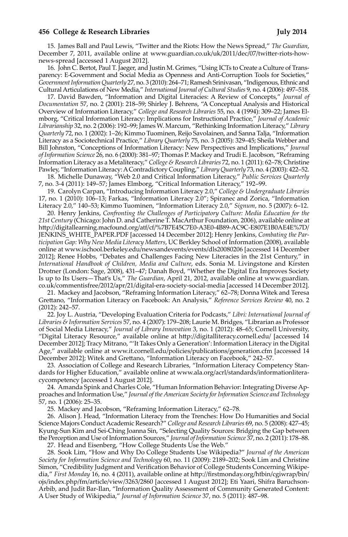#### **456 College & Research Libraries July 2014**

15. James Ball and Paul Lewis, "Twitter and the Riots: How the News Spread," *The Guardian*, December 7, 2011, available online at www.guardian.co.uk/uk/2011/dec/07/twitter-riots-hownews-spread [accessed 1 August 2012].

16. John C. Bertot, Paul T. Jaeger, and Justin M. Grimes, "Using ICTs to Create a Culture of Transparency: E-Government and Social Media as Openness and Anti-Corruption Tools for Societies," *Government Information Quarterly* 27, no. 3 (2010): 264–71; Ramesh Srinivasan, "Indigenous, Ethnic and Cultural Articulations of New Media," *International Journal of Cultural Studies* 9, no. 4 (2006): 497–518.

17. David Bawden, "Information and Digital Literacies: A Review of Concepts," *Journal of Documentation* 57, no. 2 (2001): 218–59; Shirley J. Behrens, "A Conceptual Analysis and Historical Overview of Information Literacy," *College and Research Libraries* 55, no. 4 (1994): 309–22; James Elmborg, "Critical Information Literacy: Implications for Instructional Practice," *Journal of Academic Librarianship* 32, no. 2 (2006): 192–99; James W. Marcum, "Rethinking Information Literacy," *Library Quarterly* 72, no. 1 (2002): 1–26; Kimmo Tuominen, Reijo Savolainen, and Sanna Talja, "Information Literacy as a Sociotechnical Practice," *Library Quarterly* 75, no. 3 (2005): 329–45; Sheila Webber and Bill Johnston, "Conceptions of Information Literacy: New Perspectives and Implications," *Journal of Information Science* 26, no. 6 (2000): 381–97; Thomas P. Mackey and Trudi E. Jacobson, "Reframing Information Literacy as a Metaliteracy," *College & Research Libraries* 72, no. 1 (2011): 62–78; Christine Pawley, "Information Literacy: A Contradictory Coupling," *Library Quarterly* 73, no. 4 (2003): 422–52.

18. Michelle Dunaway, "Web 2.0 and Critical Information Literacy," *Public Services Quarterly*  7, no. 3-4 (2011): 149–57; James Elmborg, "Critical Information Literacy," 192–99.

19. Carolyn Carpan, "Introducing Information Literacy 2.0," *College & Undergraduate Libraries*  17, no. 1 (2010): 106–13; Farkas, "Information Literacy 2.0"; Spiranec and Zorica, "Information Literacy 2.0," 140–53; Kimmo Tuominen, "Information Literacy 2.0," *Signum*, no. 5 (2007): 6–12.

20. Henry Jenkins, *Confronting the Challenges of Participatory Culture: Media Education for the 21st Century* (Chicago: John D. and Catherine T. MacArthur Foundation, 2006), available online at http://digitallearning.macfound.org/atf/cf/%7B7E45C7E0-A3E0-4B89-AC9C-E807E1B0AE4E%7D/ JENKINS\_WHITE\_PAPER.PDF [accessed 14 December 2012]; Henry Jenkins, *Combating the Participation Gap: Why New Media Literacy Matters*, UC Berkley School of Information (2008), available online at www.ischool.berkeley.edu/newsandevents/events/dls20080206 [accessed 14 December 2012]; Renee Hobbs, "Debates and Challenges Facing New Literacies in the 21st Century," in *International Handbook of Children, Media and Culture*, eds. Sonia M. Livingstone and Kirsten Drotner (London: Sage, 2008), 431–47; Danah Boyd, "Whether the Digital Era Improves Society Is up to Its Users—That's Us," *The Guardian*, April 21, 2012, available online at www.guardian. co.uk/commentisfree/2012/apr/21/digital-era-society-social-media [accessed 14 December 2012].

21. Mackey and Jacobson, "Reframing Information Literacy," 62–78; Donna Witek and Teresa Grettano, "Information Literacy on Facebook: An Analysis," *Reference Services Review* 40, no. 2 (2012): 242–57.

22. Joy L. Austria, "Developing Evaluation Criteria for Podcasts," *Libri: International Journal of Libraries & Information Services* 57, no. 4 (2007): 179–208; Laurie M. Bridges, "Librarian as Professor of Social Media Literacy," *Journal of Library Innovation* 3, no. 1 (2012): 48–65; Cornell University, "Digital Literacy Resource," available online at http://digitalliteracy.cornell.edu/ [accessed 14 December 2012]; Tracy Mitrano, "'It Takes Only a Generation': Information Literacy in the Digital Age," available online at www.it.cornell.edu/policies/publications/generation.cfm [accessed 14 December 2012]; Witek and Grettano, "Information Literacy on Facebook," 242–57.

23. Association of College and Research Libraries, "Information Literacy Competency Standards for Higher Education," available online at www.ala.org/acrl/standards/informationliteracycompetency [accessed 1 August 2012].

24. Amanda Spink and Charles Cole, "Human Information Behavior: Integrating Diverse Approaches and Information Use," *Journal of the American Society for Information Science and Technology*  57, no. 1 (2006): 25–35.

25. Mackey and Jacobson, "Reframing Information Literacy," 62–78.

26. Alison J. Head, "Information Literacy from the Trenches: How Do Humanities and Social Science Majors Conduct Academic Research?" *College and Research Libraries* 69, no. 5 (2008): 427–45; Kyung-Sun Kim and Sei-Ching Joanna Sin, "Selecting Quality Sources: Bridging the Gap between the Perception and Use of Information Sources," *Journal of Information Science* 37, no. 2 (2011): 178–88.

27. Head and Eisenberg, "How College Students Use the Web."

28. Sook Lim, "How and Why Do College Students Use Wikipedia?" *Journal of the American Society for Information Science and Technology* 60, no. 11 (2009): 2189–202; Sook Lim and Christine Simon, "Credibility Judgment and Verification Behavior of College Students Concerning Wikipedia," *First Monday* 16, no. 4 (2011), available online at http://firstmonday.org/htbin/cgiwrap/bin/ ojs/index.php/fm/article/view/3263/2860 [accessed 1 August 2012]; Eti Yaari, Shifra Baruchson-Arbib, and Judit Bar-Ilan, "Information Quality Assessment of Community Generated Content: A User Study of Wikipedia," *Journal of Information Science* 37, no. 5 (2011): 487–98.